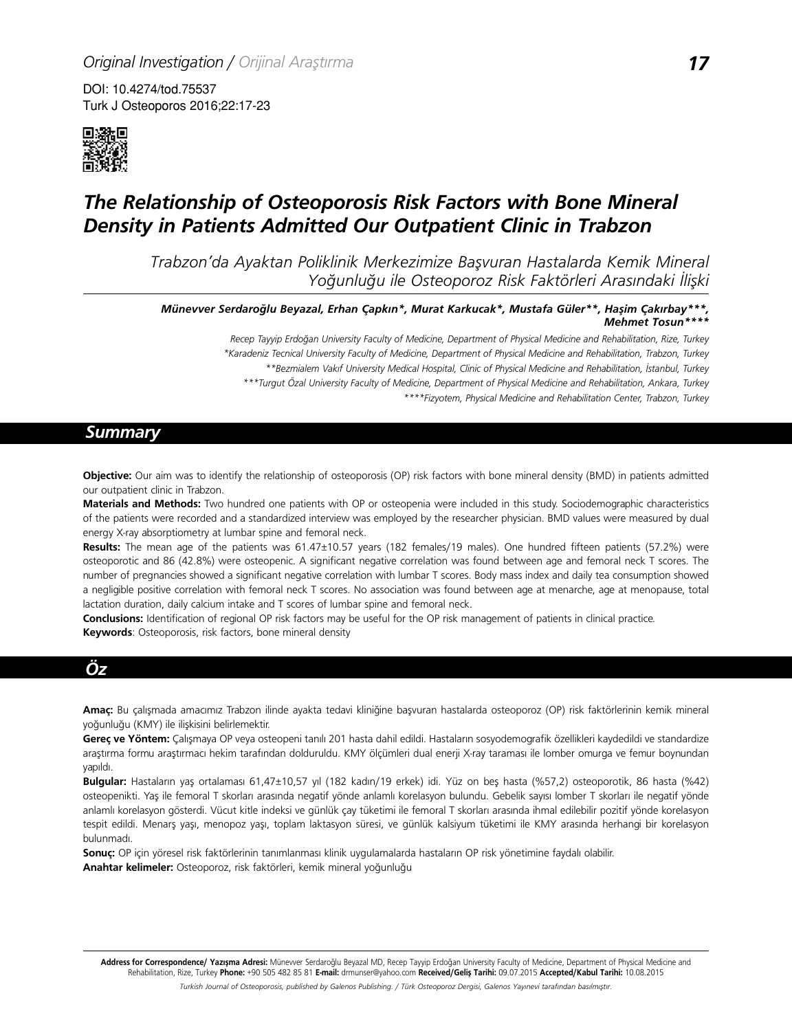DOI: 10.4274/tod.75537 Turk J Osteoporos 2016;22:17-23



# *The Relationship of Osteoporosis Risk Factors with Bone Mineral Density in Patients Admitted Our Outpatient Clinic in Trabzon*

*Trabzon'da Ayaktan Poliklinik Merkezimize Başvuran Hastalarda Kemik Mineral Yoğunluğu ile Osteoporoz Risk Faktörleri Arasındaki İlişki*

*Münevver Serdaroğlu Beyazal, Erhan Çapkın\*, Murat Karkucak\*, Mustafa Güler\*\*, Haşim Çakırbay\*\*\*, Mehmet Tosun\*\*\*\**

> *Recep Tayyip Erdoğan University Faculty of Medicine, Department of Physical Medicine and Rehabilitation, Rize, Turkey \*Karadeniz Tecnical University Faculty of Medicine, Department of Physical Medicine and Rehabilitation, Trabzon, Turkey \*\*Bezmialem Vakıf University Medical Hospital, Clinic of Physical Medicine and Rehabilitation, İstanbul, Turkey \*\*\*Turgut Özal University Faculty of Medicine, Department of Physical Medicine and Rehabilitation, Ankara, Turkey \*\*\*\*Fizyotem, Physical Medicine and Rehabilitation Center, Trabzon, Turkey*

## *Summary*

**Objective:** Our aim was to identify the relationship of osteoporosis (OP) risk factors with bone mineral density (BMD) in patients admitted our outpatient clinic in Trabzon.

**Materials and Methods:** Two hundred one patients with OP or osteopenia were included in this study. Sociodemographic characteristics of the patients were recorded and a standardized interview was employed by the researcher physician. BMD values were measured by dual energy X-ray absorptiometry at lumbar spine and femoral neck.

**Results:** The mean age of the patients was 61.47±10.57 years (182 females/19 males). One hundred fifteen patients (57.2%) were osteoporotic and 86 (42.8%) were osteopenic. A significant negative correlation was found between age and femoral neck T scores. The number of pregnancies showed a significant negative correlation with lumbar T scores. Body mass index and daily tea consumption showed a negligible positive correlation with femoral neck T scores. No association was found between age at menarche, age at menopause, total lactation duration, daily calcium intake and T scores of lumbar spine and femoral neck.

**Conclusions:** Identification of regional OP risk factors may be useful for the OP risk management of patients in clinical practice. **Keywords**: Osteoporosis, risk factors, bone mineral density

## *Öz*

**Amaç:** Bu çalışmada amacımız Trabzon ilinde ayakta tedavi kliniğine başvuran hastalarda osteoporoz (OP) risk faktörlerinin kemik mineral yoğunluğu (KMY) ile ilişkisini belirlemektir.

**Gereç ve Yöntem:** Çalışmaya OP veya osteopeni tanılı 201 hasta dahil edildi. Hastaların sosyodemografik özellikleri kaydedildi ve standardize araştırma formu araştırmacı hekim tarafından dolduruldu. KMY ölçümleri dual enerji X-ray taraması ile lomber omurga ve femur boynundan yapıldı.

**Bulgular:** Hastaların yaş ortalaması 61,47±10,57 yıl (182 kadın/19 erkek) idi. Yüz on beş hasta (%57,2) osteoporotik, 86 hasta (%42) osteopenikti. Yaş ile femoral T skorları arasında negatif yönde anlamlı korelasyon bulundu. Gebelik sayısı lomber T skorları ile negatif yönde anlamlı korelasyon gösterdi. Vücut kitle indeksi ve günlük çay tüketimi ile femoral T skorları arasında ihmal edilebilir pozitif yönde korelasyon tespit edildi. Menarş yaşı, menopoz yaşı, toplam laktasyon süresi, ve günlük kalsiyum tüketimi ile KMY arasında herhangi bir korelasyon bulunmadı.

**Sonuç:** OP için yöresel risk faktörlerinin tanımlanması klinik uygulamalarda hastaların OP risk yönetimine faydalı olabilir. **Anahtar kelimeler:** Osteoporoz, risk faktörleri, kemik mineral yoğunluğu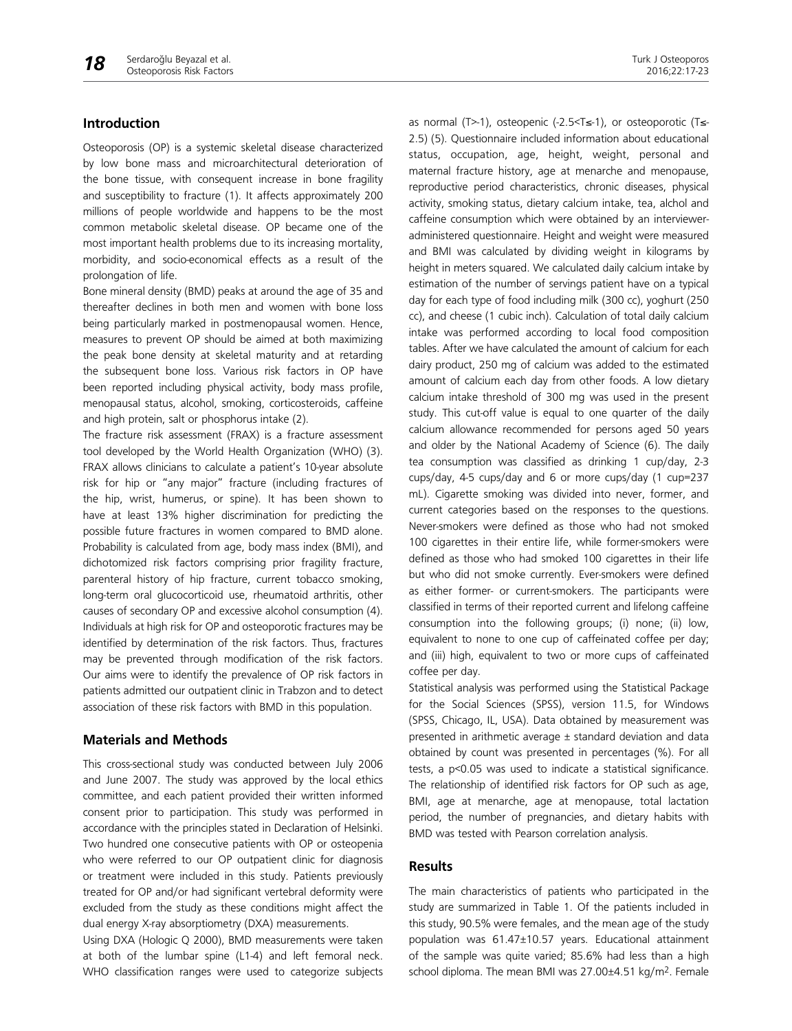#### **Introduction**

Osteoporosis (OP) is a systemic skeletal disease characterized by low bone mass and microarchitectural deterioration of the bone tissue, with consequent increase in bone fragility and susceptibility to fracture (1). It affects approximately 200 millions of people worldwide and happens to be the most common metabolic skeletal disease. OP became one of the most important health problems due to its increasing mortality, morbidity, and socio-economical effects as a result of the prolongation of life.

Bone mineral density (BMD) peaks at around the age of 35 and thereafter declines in both men and women with bone loss being particularly marked in postmenopausal women. Hence, measures to prevent OP should be aimed at both maximizing the peak bone density at skeletal maturity and at retarding the subsequent bone loss. Various risk factors in OP have been reported including physical activity, body mass profile, menopausal status, alcohol, smoking, corticosteroids, caffeine and high protein, salt or phosphorus intake (2).

The fracture risk assessment (FRAX) is a fracture assessment tool developed by the World Health Organization (WHO) (3). FRAX allows clinicians to calculate a patient's 10-year absolute risk for hip or "any major" fracture (including fractures of the hip, wrist, humerus, or spine). It has been shown to have at least 13% higher discrimination for predicting the possible future fractures in women compared to BMD alone. Probability is calculated from age, body mass index (BMI), and dichotomized risk factors comprising prior fragility fracture, parenteral history of hip fracture, current tobacco smoking, long-term oral glucocorticoid use, rheumatoid arthritis, other causes of secondary OP and excessive alcohol consumption (4). Individuals at high risk for OP and osteoporotic fractures may be identified by determination of the risk factors. Thus, fractures may be prevented through modification of the risk factors. Our aims were to identify the prevalence of OP risk factors in patients admitted our outpatient clinic in Trabzon and to detect association of these risk factors with BMD in this population.

#### **Materials and Methods**

This cross-sectional study was conducted between July 2006 and June 2007. The study was approved by the local ethics committee, and each patient provided their written informed consent prior to participation. This study was performed in accordance with the principles stated in Declaration of Helsinki. Two hundred one consecutive patients with OP or osteopenia who were referred to our OP outpatient clinic for diagnosis or treatment were included in this study. Patients previously treated for OP and/or had significant vertebral deformity were excluded from the study as these conditions might affect the dual energy X-ray absorptiometry (DXA) measurements.

Using DXA (Hologic Q 2000), BMD measurements were taken at both of the lumbar spine (L1-4) and left femoral neck. WHO classification ranges were used to categorize subjects

as normal (T>-1), osteopenic (-2.5<T≤-1), or osteoporotic (T≤- 2.5) (5). Questionnaire included information about educational status, occupation, age, height, weight, personal and maternal fracture history, age at menarche and menopause, reproductive period characteristics, chronic diseases, physical activity, smoking status, dietary calcium intake, tea, alchol and caffeine consumption which were obtained by an intervieweradministered questionnaire. Height and weight were measured and BMI was calculated by dividing weight in kilograms by height in meters squared. We calculated daily calcium intake by estimation of the number of servings patient have on a typical day for each type of food including milk (300 cc), yoghurt (250 cc), and cheese (1 cubic inch). Calculation of total daily calcium intake was performed according to local food composition tables. After we have calculated the amount of calcium for each dairy product, 250 mg of calcium was added to the estimated amount of calcium each day from other foods. A low dietary calcium intake threshold of 300 mg was used in the present study. This cut-off value is equal to one quarter of the daily calcium allowance recommended for persons aged 50 years and older by the National Academy of Science (6). The daily tea consumption was classified as drinking 1 cup/day, 2-3 cups/day, 4-5 cups/day and 6 or more cups/day (1 cup=237 mL). Cigarette smoking was divided into never, former, and current categories based on the responses to the questions. Never-smokers were defined as those who had not smoked 100 cigarettes in their entire life, while former-smokers were defined as those who had smoked 100 cigarettes in their life but who did not smoke currently. Ever-smokers were defined as either former- or current-smokers. The participants were classified in terms of their reported current and lifelong caffeine consumption into the following groups; (i) none; (ii) low, equivalent to none to one cup of caffeinated coffee per day; and (iii) high, equivalent to two or more cups of caffeinated coffee per day.

Statistical analysis was performed using the Statistical Package for the Social Sciences (SPSS), version 11.5, for Windows (SPSS, Chicago, IL, USA). Data obtained by measurement was presented in arithmetic average ± standard deviation and data obtained by count was presented in percentages (%). For all tests, a p<0.05 was used to indicate a statistical significance. The relationship of identified risk factors for OP such as age, BMI, age at menarche, age at menopause, total lactation period, the number of pregnancies, and dietary habits with BMD was tested with Pearson correlation analysis.

#### **Results**

The main characteristics of patients who participated in the study are summarized in Table 1. Of the patients included in this study, 90.5% were females, and the mean age of the study population was 61.47±10.57 years. Educational attainment of the sample was quite varied; 85.6% had less than a high school diploma. The mean BMI was 27.00±4.51 kg/m<sup>2</sup>. Female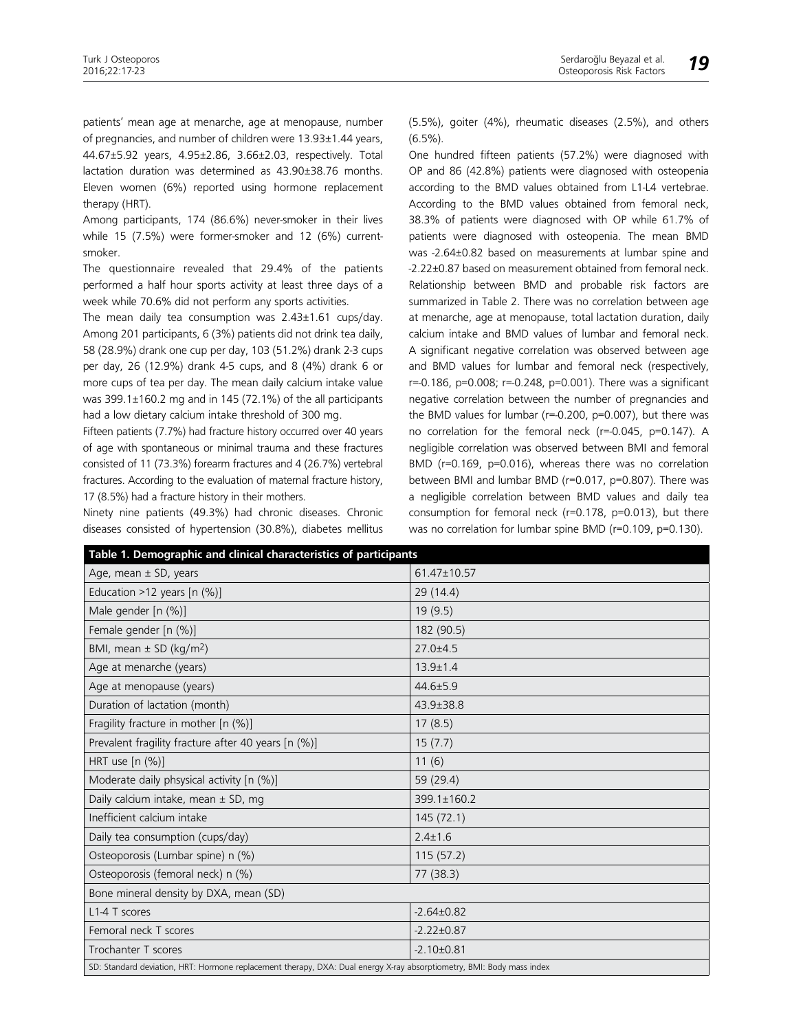patients' mean age at menarche, age at menopause, number of pregnancies, and number of children were 13.93±1.44 years, 44.67±5.92 years, 4.95±2.86, 3.66±2.03, respectively. Total lactation duration was determined as 43.90±38.76 months. Eleven women (6%) reported using hormone replacement therapy (HRT).

Among participants, 174 (86.6%) never-smoker in their lives while 15 (7.5%) were former-smoker and 12 (6%) currentsmoker.

The questionnaire revealed that 29.4% of the patients performed a half hour sports activity at least three days of a week while 70.6% did not perform any sports activities.

The mean daily tea consumption was 2.43±1.61 cups/day. Among 201 participants, 6 (3%) patients did not drink tea daily, 58 (28.9%) drank one cup per day, 103 (51.2%) drank 2-3 cups per day, 26 (12.9%) drank 4-5 cups, and 8 (4%) drank 6 or more cups of tea per day. The mean daily calcium intake value was 399.1±160.2 mg and in 145 (72.1%) of the all participants had a low dietary calcium intake threshold of 300 mg.

Fifteen patients (7.7%) had fracture history occurred over 40 years of age with spontaneous or minimal trauma and these fractures consisted of 11 (73.3%) forearm fractures and 4 (26.7%) vertebral fractures. According to the evaluation of maternal fracture history, 17 (8.5%) had a fracture history in their mothers.

Ninety nine patients (49.3%) had chronic diseases. Chronic diseases consisted of hypertension (30.8%), diabetes mellitus

(5.5%), goiter (4%), rheumatic diseases (2.5%), and others (6.5%).

One hundred fifteen patients (57.2%) were diagnosed with OP and 86 (42.8%) patients were diagnosed with osteopenia according to the BMD values obtained from L1-L4 vertebrae. According to the BMD values obtained from femoral neck, 38.3% of patients were diagnosed with OP while 61.7% of patients were diagnosed with osteopenia. The mean BMD was -2.64±0.82 based on measurements at lumbar spine and -2.22±0.87 based on measurement obtained from femoral neck. Relationship between BMD and probable risk factors are summarized in Table 2. There was no correlation between age at menarche, age at menopause, total lactation duration, daily calcium intake and BMD values of lumbar and femoral neck. A significant negative correlation was observed between age and BMD values for lumbar and femoral neck (respectively, r=-0.186, p=0.008; r=-0.248, p=0.001). There was a significant negative correlation between the number of pregnancies and the BMD values for lumbar (r=-0.200, p=0.007), but there was no correlation for the femoral neck (r=-0.045, p=0.147). A negligible correlation was observed between BMI and femoral BMD (r=0.169, p=0.016), whereas there was no correlation between BMI and lumbar BMD (r=0.017, p=0.807). There was a negligible correlation between BMD values and daily tea consumption for femoral neck (r=0.178, p=0.013), but there was no correlation for lumbar spine BMD (r=0.109, p=0.130).

| Table 1. Demographic and clinical characteristics of participants                                                     |                  |  |  |
|-----------------------------------------------------------------------------------------------------------------------|------------------|--|--|
| Age, mean $\pm$ SD, years                                                                                             | 61.47±10.57      |  |  |
| Education >12 years $[n (%)]$                                                                                         | 29(14.4)         |  |  |
| Male gender [n (%)]                                                                                                   | 19(9.5)          |  |  |
| Female gender [n (%)]                                                                                                 | 182 (90.5)       |  |  |
| BMI, mean $\pm$ SD (kg/m <sup>2</sup> )                                                                               | $27.0 + 4.5$     |  |  |
| Age at menarche (years)                                                                                               | $13.9 \pm 1.4$   |  |  |
| Age at menopause (years)                                                                                              | $44.6 \pm 5.9$   |  |  |
| Duration of lactation (month)                                                                                         | 43.9±38.8        |  |  |
| Fragility fracture in mother [n (%)]                                                                                  | 17(8.5)          |  |  |
| Prevalent fragility fracture after 40 years [n (%)]                                                                   | 15(7.7)          |  |  |
| HRT use [n (%)]                                                                                                       | 11(6)            |  |  |
| Moderate daily phsysical activity [n (%)]                                                                             | 59 (29.4)        |  |  |
| Daily calcium intake, mean ± SD, mg                                                                                   | 399.1±160.2      |  |  |
| Inefficient calcium intake                                                                                            | 145(72.1)        |  |  |
| Daily tea consumption (cups/day)                                                                                      | $2.4 \pm 1.6$    |  |  |
| Osteoporosis (Lumbar spine) n (%)                                                                                     | 115(57.2)        |  |  |
| Osteoporosis (femoral neck) n (%)                                                                                     | 77 (38.3)        |  |  |
| Bone mineral density by DXA, mean (SD)                                                                                |                  |  |  |
| L1-4 T scores                                                                                                         | $-2.64 \pm 0.82$ |  |  |
| Femoral neck T scores                                                                                                 | $-2.22 \pm 0.87$ |  |  |
| Trochanter T scores                                                                                                   | $-2.10+0.81$     |  |  |
| SD: Standard deviation, HRT: Hormone replacement therapy, DXA: Dual energy X-ray absorptiometry, BMI: Body mass index |                  |  |  |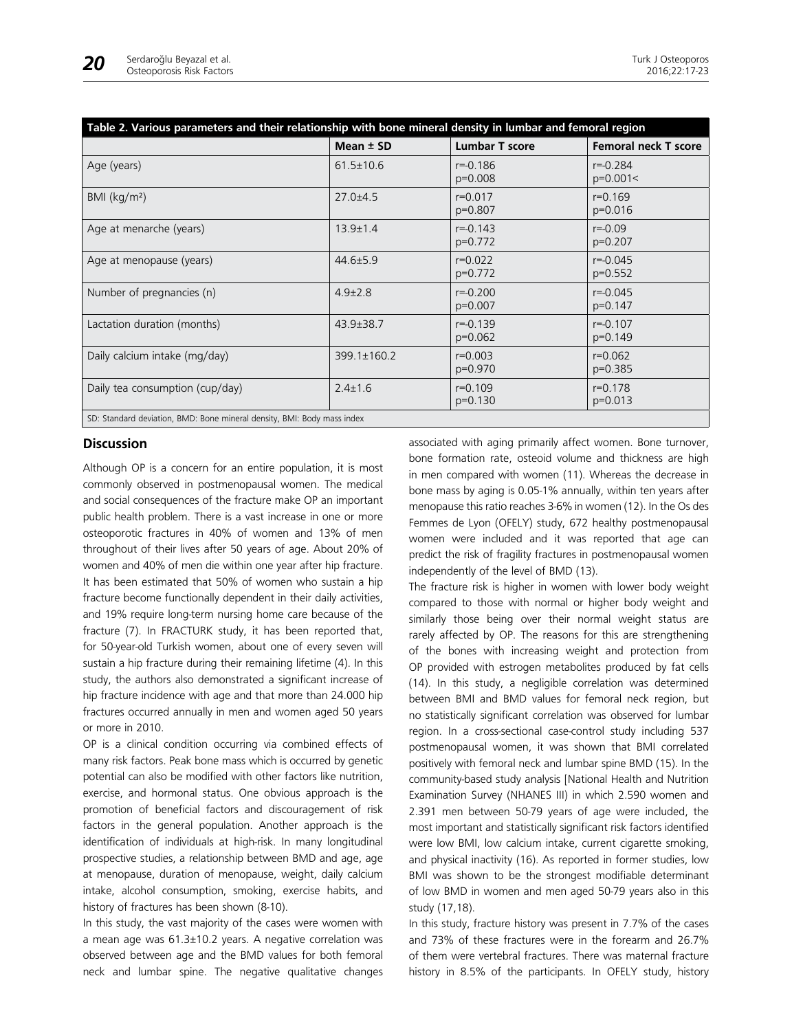| Table 2. Various parameters and their relationship with bone mineral density in lumbar and femoral region |                 |                           |                             |
|-----------------------------------------------------------------------------------------------------------|-----------------|---------------------------|-----------------------------|
|                                                                                                           | Mean $±$ SD     | <b>Lumbar T score</b>     | <b>Femoral neck T score</b> |
| Age (years)                                                                                               | $61.5 \pm 10.6$ | $r = -0.186$<br>p=0.008   | $r = -0.284$<br>$p=0.001<$  |
| BMI (kg/m <sup>2</sup> )                                                                                  | $27.0 + 4.5$    | $r = 0.017$<br>p=0.807    | $r = 0.169$<br>$p=0.016$    |
| Age at menarche (years)                                                                                   | $13.9 \pm 1.4$  | $r = -0.143$<br>p=0.772   | $r = -0.09$<br>$p=0.207$    |
| Age at menopause (years)                                                                                  | $44.6 \pm 5.9$  | $r = 0.022$<br>$p=0.772$  | $r = -0.045$<br>$p=0.552$   |
| Number of pregnancies (n)                                                                                 | $4.9 \pm 2.8$   | $r = -0.200$<br>p=0.007   | $r = -0.045$<br>$p=0.147$   |
| Lactation duration (months)                                                                               | 43.9±38.7       | $r = -0.139$<br>$p=0.062$ | $r = -0.107$<br>$p=0.149$   |
| Daily calcium intake (mg/day)                                                                             | 399.1±160.2     | $r = 0.003$<br>p=0.970    | $r = 0.062$<br>$p=0.385$    |
| Daily tea consumption (cup/day)                                                                           | $2.4 \pm 1.6$   | $r = 0.109$<br>$p=0.130$  | $r = 0.178$<br>$p=0.013$    |
| SD: Standard deviation, BMD: Bone mineral density, BMI: Body mass index                                   |                 |                           |                             |

#### **Discussion**

Although OP is a concern for an entire population, it is most commonly observed in postmenopausal women. The medical and social consequences of the fracture make OP an important public health problem. There is a vast increase in one or more osteoporotic fractures in 40% of women and 13% of men throughout of their lives after 50 years of age. About 20% of women and 40% of men die within one year after hip fracture. It has been estimated that 50% of women who sustain a hip fracture become functionally dependent in their daily activities, and 19% require long-term nursing home care because of the fracture (7). In FRACTURK study, it has been reported that, for 50-year-old Turkish women, about one of every seven will sustain a hip fracture during their remaining lifetime (4). In this study, the authors also demonstrated a significant increase of hip fracture incidence with age and that more than 24.000 hip fractures occurred annually in men and women aged 50 years or more in 2010.

OP is a clinical condition occurring via combined effects of many risk factors. Peak bone mass which is occurred by genetic potential can also be modified with other factors like nutrition, exercise, and hormonal status. One obvious approach is the promotion of beneficial factors and discouragement of risk factors in the general population. Another approach is the identification of individuals at high-risk. In many longitudinal prospective studies, a relationship between BMD and age, age at menopause, duration of menopause, weight, daily calcium intake, alcohol consumption, smoking, exercise habits, and history of fractures has been shown (8-10).

In this study, the vast majority of the cases were women with a mean age was 61.3±10.2 years. A negative correlation was observed between age and the BMD values for both femoral neck and lumbar spine. The negative qualitative changes

associated with aging primarily affect women. Bone turnover, bone formation rate, osteoid volume and thickness are high in men compared with women (11). Whereas the decrease in bone mass by aging is 0.05-1% annually, within ten years after menopause this ratio reaches 3-6% in women (12). In the Os des Femmes de Lyon (OFELY) study, 672 healthy postmenopausal women were included and it was reported that age can predict the risk of fragility fractures in postmenopausal women independently of the level of BMD (13).

The fracture risk is higher in women with lower body weight compared to those with normal or higher body weight and similarly those being over their normal weight status are rarely affected by OP. The reasons for this are strengthening of the bones with increasing weight and protection from OP provided with estrogen metabolites produced by fat cells (14). In this study, a negligible correlation was determined between BMI and BMD values for femoral neck region, but no statistically significant correlation was observed for lumbar region. In a cross-sectional case-control study including 537 postmenopausal women, it was shown that BMI correlated positively with femoral neck and lumbar spine BMD (15). In the community-based study analysis [National Health and Nutrition Examination Survey (NHANES III) in which 2.590 women and 2.391 men between 50-79 years of age were included, the most important and statistically significant risk factors identified were low BMI, low calcium intake, current cigarette smoking, and physical inactivity (16). As reported in former studies, low BMI was shown to be the strongest modifiable determinant of low BMD in women and men aged 50-79 years also in this study (17,18).

In this study, fracture history was present in 7.7% of the cases and 73% of these fractures were in the forearm and 26.7% of them were vertebral fractures. There was maternal fracture history in 8.5% of the participants. In OFELY study, history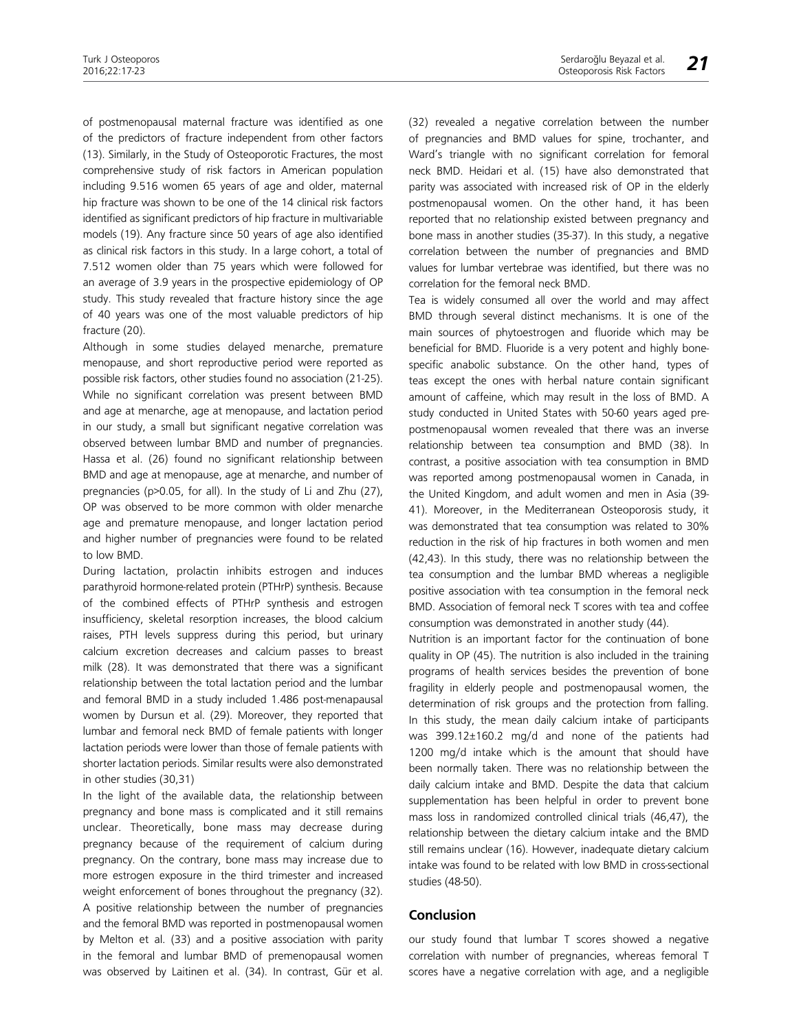of postmenopausal maternal fracture was identified as one of the predictors of fracture independent from other factors (13). Similarly, in the Study of Osteoporotic Fractures, the most comprehensive study of risk factors in American population including 9.516 women 65 years of age and older, maternal hip fracture was shown to be one of the 14 clinical risk factors identified as significant predictors of hip fracture in multivariable models (19). Any fracture since 50 years of age also identified as clinical risk factors in this study. In a large cohort, a total of 7.512 women older than 75 years which were followed for an average of 3.9 years in the prospective epidemiology of OP study. This study revealed that fracture history since the age of 40 years was one of the most valuable predictors of hip fracture (20).

Although in some studies delayed menarche, premature menopause, and short reproductive period were reported as possible risk factors, other studies found no association (21-25). While no significant correlation was present between BMD and age at menarche, age at menopause, and lactation period in our study, a small but significant negative correlation was observed between lumbar BMD and number of pregnancies. Hassa et al. (26) found no significant relationship between BMD and age at menopause, age at menarche, and number of pregnancies (p>0.05, for all). In the study of Li and Zhu (27), OP was observed to be more common with older menarche age and premature menopause, and longer lactation period and higher number of pregnancies were found to be related to low BMD.

During lactation, prolactin inhibits estrogen and induces parathyroid hormone-related protein (PTHrP) synthesis. Because of the combined effects of PTHrP synthesis and estrogen insufficiency, skeletal resorption increases, the blood calcium raises, PTH levels suppress during this period, but urinary calcium excretion decreases and calcium passes to breast milk (28). It was demonstrated that there was a significant relationship between the total lactation period and the lumbar and femoral BMD in a study included 1.486 post-menapausal women by Dursun et al. (29). Moreover, they reported that lumbar and femoral neck BMD of female patients with longer lactation periods were lower than those of female patients with shorter lactation periods. Similar results were also demonstrated in other studies (30,31)

In the light of the available data, the relationship between pregnancy and bone mass is complicated and it still remains unclear. Theoretically, bone mass may decrease during pregnancy because of the requirement of calcium during pregnancy. On the contrary, bone mass may increase due to more estrogen exposure in the third trimester and increased weight enforcement of bones throughout the pregnancy (32). A positive relationship between the number of pregnancies and the femoral BMD was reported in postmenopausal women by Melton et al. (33) and a positive association with parity in the femoral and lumbar BMD of premenopausal women was observed by Laitinen et al. (34). In contrast, Gür et al.

(32) revealed a negative correlation between the number of pregnancies and BMD values for spine, trochanter, and Ward's triangle with no significant correlation for femoral neck BMD. Heidari et al. (15) have also demonstrated that parity was associated with increased risk of OP in the elderly postmenopausal women. On the other hand, it has been reported that no relationship existed between pregnancy and bone mass in another studies (35-37). In this study, a negative correlation between the number of pregnancies and BMD values for lumbar vertebrae was identified, but there was no correlation for the femoral neck BMD.

Tea is widely consumed all over the world and may affect BMD through several distinct mechanisms. It is one of the main sources of phytoestrogen and fluoride which may be beneficial for BMD. Fluoride is a very potent and highly bonespecific anabolic substance. On the other hand, types of teas except the ones with herbal nature contain significant amount of caffeine, which may result in the loss of BMD. A study conducted in United States with 50-60 years aged prepostmenopausal women revealed that there was an inverse relationship between tea consumption and BMD (38). In contrast, a positive association with tea consumption in BMD was reported among postmenopausal women in Canada, in the United Kingdom, and adult women and men in Asia (39- 41). Moreover, in the Mediterranean Osteoporosis study, it was demonstrated that tea consumption was related to 30% reduction in the risk of hip fractures in both women and men (42,43). In this study, there was no relationship between the tea consumption and the lumbar BMD whereas a negligible positive association with tea consumption in the femoral neck BMD. Association of femoral neck T scores with tea and coffee consumption was demonstrated in another study (44).

Nutrition is an important factor for the continuation of bone quality in OP (45). The nutrition is also included in the training programs of health services besides the prevention of bone fragility in elderly people and postmenopausal women, the determination of risk groups and the protection from falling. In this study, the mean daily calcium intake of participants was 399.12±160.2 mg/d and none of the patients had 1200 mg/d intake which is the amount that should have been normally taken. There was no relationship between the daily calcium intake and BMD. Despite the data that calcium supplementation has been helpful in order to prevent bone mass loss in randomized controlled clinical trials (46,47), the relationship between the dietary calcium intake and the BMD still remains unclear (16). However, inadequate dietary calcium intake was found to be related with low BMD in cross-sectional studies (48-50).

### **Conclusion**

our study found that lumbar T scores showed a negative correlation with number of pregnancies, whereas femoral T scores have a negative correlation with age, and a negligible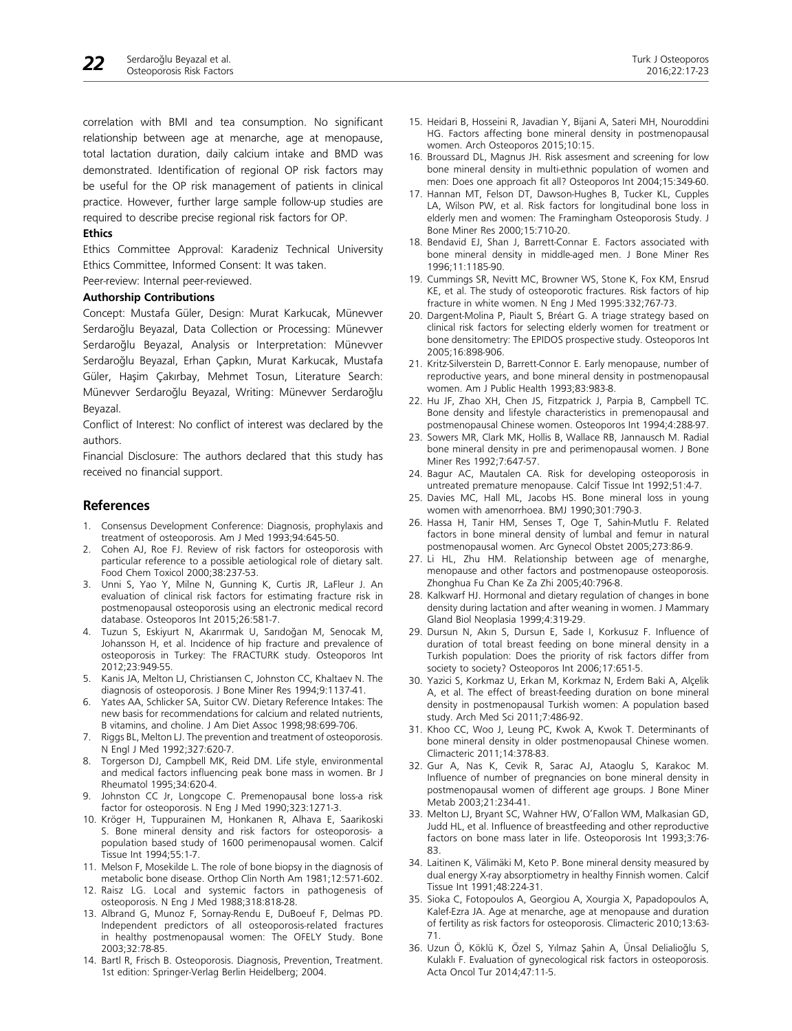correlation with BMI and tea consumption. No significant relationship between age at menarche, age at menopause, total lactation duration, daily calcium intake and BMD was demonstrated. Identification of regional OP risk factors may be useful for the OP risk management of patients in clinical practice. However, further large sample follow-up studies are required to describe precise regional risk factors for OP.

#### **Ethics**

Ethics Committee Approval: Karadeniz Technical University Ethics Committee, Informed Consent: It was taken.

Peer-review: Internal peer-reviewed.

#### **Authorship Contributions**

Concept: Mustafa Güler, Design: Murat Karkucak, Münevver Serdaroğlu Beyazal, Data Collection or Processing: Münevver Serdaroğlu Beyazal, Analysis or Interpretation: Münevver Serdaroğlu Beyazal, Erhan Çapkın, Murat Karkucak, Mustafa Güler, Haşim Çakırbay, Mehmet Tosun, Literature Search: Münevver Serdaroğlu Beyazal, Writing: Münevver Serdaroğlu Beyazal.

Conflict of Interest: No conflict of interest was declared by the authors.

Financial Disclosure: The authors declared that this study has received no financial support.

#### **References**

- 1. Consensus Development Conference: Diagnosis, prophylaxis and treatment of osteoporosis. Am J Med 1993;94:645-50.
- 2. Cohen AJ, Roe FJ. Review of risk factors for osteoporosis with particular reference to a possible aetiological role of dietary salt. Food Chem Toxicol 2000;38:237-53.
- 3. Unni S, Yao Y, Milne N, Gunning K, Curtis JR, LaFleur J. An evaluation of clinical risk factors for estimating fracture risk in postmenopausal osteoporosis using an electronic medical record database. Osteoporos Int 2015;26:581-7.
- 4. Tuzun S, Eskiyurt N, Akarırmak U, Sarıdoğan M, Senocak M, Johansson H, et al. Incidence of hip fracture and prevalence of osteoporosis in Turkey: The FRACTURK study. Osteoporos Int 2012;23:949-55.
- Kanis JA, Melton LJ, Christiansen C, Johnston CC, Khaltaev N. The diagnosis of osteoporosis. J Bone Miner Res 1994;9:1137-41.
- 6. Yates AA, Schlicker SA, Suitor CW. Dietary Reference Intakes: The new basis for recommendations for calcium and related nutrients, B vitamins, and choline. J Am Diet Assoc 1998;98:699-706.
- 7. Riggs BL, Melton LJ. The prevention and treatment of osteoporosis. N Engl J Med 1992;327:620-7.
- 8. Torgerson DJ, Campbell MK, Reid DM. Life style, environmental and medical factors influencing peak bone mass in women. Br J Rheumatol 1995;34:620-4.
- 9. Johnston CC Jr, Longcope C. Premenopausal bone loss-a risk factor for osteoporosis. N Eng J Med 1990;323:1271-3.
- 10. Kröger H, Tuppurainen M, Honkanen R, Alhava E, Saarikoski S. Bone mineral density and risk factors for osteoporosis- a population based study of 1600 perimenopausal women. Calcif Tissue Int 1994;55:1-7.
- 11. Melson F, Mosekilde L. The role of bone biopsy in the diagnosis of metabolic bone disease. Orthop Clin North Am 1981;12:571-602.
- 12. Raisz LG. Local and systemic factors in pathogenesis of osteoporosis. N Eng J Med 1988;318:818-28.
- 13. Albrand G, Munoz F, Sornay-Rendu E, DuBoeuf F, Delmas PD. Independent predictors of all osteoporosis-related fractures in healthy postmenopausal women: The OFELY Study. Bone 2003;32:78-85.
- 14. Bartl R, Frisch B. Osteoporosis. Diagnosis, Prevention, Treatment. 1st edition: Springer-Verlag Berlin Heidelberg; 2004.
- 15. Heidari B, Hosseini R, Javadian Y, Bijani A, Sateri MH, Nouroddini HG. Factors affecting bone mineral density in postmenopausal women. Arch Osteoporos 2015;10:15.
- 16. Broussard DL, Magnus JH. Risk assesment and screening for low bone mineral density in multi-ethnic population of women and men: Does one approach fit all? Osteoporos Int 2004;15:349-60.
- 17. Hannan MT, Felson DT, Dawson-Hughes B, Tucker KL, Cupples LA, Wilson PW, et al. Risk factors for longitudinal bone loss in elderly men and women: The Framingham Osteoporosis Study. J Bone Miner Res 2000;15:710-20.
- 18. Bendavid EJ, Shan J, Barrett-Connar E. Factors associated with bone mineral density in middle-aged men. J Bone Miner Res 1996;11:1185-90.
- 19. Cummings SR, Nevitt MC, Browner WS, Stone K, Fox KM, Ensrud KE, et al. The study of osteoporotic fractures. Risk factors of hip fracture in white women. N Eng J Med 1995:332;767-73.
- 20. Dargent-Molina P, Piault S, Bréart G. A triage strategy based on clinical risk factors for selecting elderly women for treatment or bone densitometry: The EPIDOS prospective study. Osteoporos Int 2005;16:898-906.
- 21. Kritz-Silverstein D, Barrett-Connor E. Early menopause, number of reproductive years, and bone mineral density in postmenopausal women. Am J Public Health 1993;83:983-8.
- 22. Hu JF, Zhao XH, Chen JS, Fitzpatrick J, Parpia B, Campbell TC. Bone density and lifestyle characteristics in premenopausal and postmenopausal Chinese women. Osteoporos Int 1994;4:288-97.
- 23. Sowers MR, Clark MK, Hollis B, Wallace RB, Jannausch M. Radial bone mineral density in pre and perimenopausal women. J Bone Miner Res 1992;7:647-57.
- 24. Bagur AC, Mautalen CA. Risk for developing osteoporosis in untreated premature menopause. Calcif Tissue Int 1992;51:4-7.
- 25. Davies MC, Hall ML, Jacobs HS. Bone mineral loss in young women with amenorrhoea. BMJ 1990;301:790-3.
- 26. Hassa H, Tanir HM, Senses T, Oge T, Sahin-Mutlu F. Related factors in bone mineral density of lumbal and femur in natural postmenopausal women. Arc Gynecol Obstet 2005;273:86-9.
- 27. Li HL, Zhu HM. Relationship between age of menarghe, menopause and other factors and postmenopause osteoporosis. Zhonghua Fu Chan Ke Za Zhi 2005;40:796-8.
- 28. Kalkwarf HJ. Hormonal and dietary regulation of changes in bone density during lactation and after weaning in women. J Mammary Gland Biol Neoplasia 1999;4:319-29.
- 29. Dursun N, Akın S, Dursun E, Sade I, Korkusuz F. Influence of duration of total breast feeding on bone mineral density in a Turkish population: Does the priority of risk factors differ from society to society? Osteoporos Int 2006;17:651-5.
- 30. Yazici S, Korkmaz U, Erkan M, Korkmaz N, Erdem Baki A, Alçelik A, et al. The effect of breast-feeding duration on bone mineral density in postmenopausal Turkish women: A population based study. Arch Med Sci 2011;7:486-92.
- 31. Khoo CC, Woo J, Leung PC, Kwok A, Kwok T. Determinants of bone mineral density in older postmenopausal Chinese women. Climacteric 2011;14:378-83.
- 32. Gur A, Nas K, Cevik R, Sarac AJ, Ataoglu S, Karakoc M. Influence of number of pregnancies on bone mineral density in postmenopausal women of different age groups. J Bone Miner Metab 2003;21:234-41.
- 33. Melton LJ, Bryant SC, Wahner HW, O'Fallon WM, Malkasian GD, Judd HL, et al. Influence of breastfeeding and other reproductive factors on bone mass later in life. Osteoporosis Int 1993;3:76- 83.
- 34. Laitinen K, Välimäki M, Keto P. Bone mineral density measured by dual energy X-ray absorptiometry in healthy Finnish women. Calcif Tissue Int 1991;48:224-31.
- 35. Sioka C, Fotopoulos A, Georgiou A, Xourgia X, Papadopoulos A, Kalef-Ezra JA. Age at menarche, age at menopause and duration of fertility as risk factors for osteoporosis. Climacteric 2010;13:63- 71.
- 36. Uzun Ö, Köklü K, Özel S, Yılmaz Şahin A, Ünsal Delialioğlu S, Kulaklı F. Evaluation of gynecological risk factors in osteoporosis. Acta Oncol Tur 2014;47:11-5.